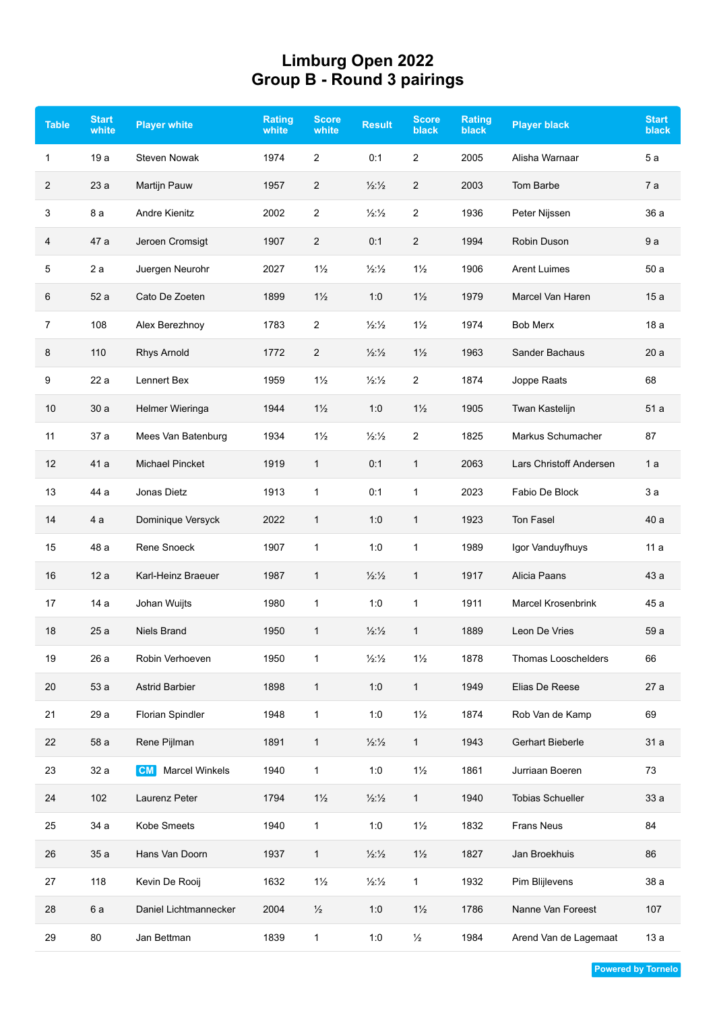## **Limburg Open 2022 Group B - Round 3 pairings**

| <b>Table</b>   | <b>Start</b><br>white | <b>Player white</b>                | <b>Rating</b><br>white | <b>Score</b><br>white | <b>Result</b>            | <b>Score</b><br>black | <b>Rating</b><br><b>black</b> | <b>Player black</b>       | <b>Start</b><br><b>black</b> |
|----------------|-----------------------|------------------------------------|------------------------|-----------------------|--------------------------|-----------------------|-------------------------------|---------------------------|------------------------------|
| $\mathbf{1}$   | 19a                   | <b>Steven Nowak</b>                | 1974                   | $\overline{2}$        | 0:1                      | $\overline{2}$        | 2005                          | Alisha Warnaar            | 5a                           |
| $\overline{2}$ | 23a                   | <b>Martijn Pauw</b>                | 1957                   | $\overline{2}$        | $\frac{1}{2}\frac{1}{2}$ | 2                     | 2003                          | Tom Barbe                 | 7 a                          |
| 3              | 8 a                   | <b>Andre Kienitz</b>               | 2002                   | 2                     | $\frac{1}{2}\frac{1}{2}$ | 2                     | 1936                          | Peter Nijssen             | 36 a                         |
| 4              | 47 a                  | Jeroen Cromsigt                    | 1907                   | $\overline{c}$        | 0:1                      | 2                     | 1994                          | Robin Duson               | 9a                           |
| 5              | 2a                    | Juergen Neurohr                    | 2027                   | $1\frac{1}{2}$        | $\frac{1}{2}\frac{1}{2}$ | $1\frac{1}{2}$        | 1906                          | <b>Arent Luimes</b>       | 50a                          |
| 6              | 52 a                  | Cato De Zoeten                     | 1899                   | $1\frac{1}{2}$        | 1:0                      | $1\frac{1}{2}$        | 1979                          | Marcel Van Haren          | 15a                          |
| $\overline{7}$ | 108                   | Alex Berezhnoy                     | 1783                   | $\overline{c}$        | $\frac{1}{2}\frac{1}{2}$ | $1\frac{1}{2}$        | 1974                          | <b>Bob Merx</b>           | 18a                          |
| 8              | 110                   | Rhys Arnold                        | 1772                   | $\overline{c}$        | $\frac{1}{2}\frac{1}{2}$ | $1\frac{1}{2}$        | 1963                          | Sander Bachaus            | 20a                          |
| 9              | 22 a                  | Lennert Bex                        | 1959                   | $1\frac{1}{2}$        | $\frac{1}{2}\frac{1}{2}$ | $\overline{2}$        | 1874                          | Joppe Raats               | 68                           |
| 10             | 30a                   | Helmer Wieringa                    | 1944                   | $1\frac{1}{2}$        | 1:0                      | $1\frac{1}{2}$        | 1905                          | Twan Kastelijn            | 51 a                         |
| 11             | 37 a                  | Mees Van Batenburg                 | 1934                   | $1\frac{1}{2}$        | $\frac{1}{2}\frac{1}{2}$ | 2                     | 1825                          | Markus Schumacher         | 87                           |
| 12             | 41 a                  | <b>Michael Pincket</b>             | 1919                   | 1                     | 0:1                      | 1                     | 2063                          | Lars Christoff Andersen   | 1a                           |
| 13             | 44 a                  | Jonas Dietz                        | 1913                   | $\mathbf{1}$          | 0:1                      | 1                     | 2023                          | Fabio De Block            | 3a                           |
| 14             | 4 a                   | Dominique Versyck                  | 2022                   | $\mathbf{1}$          | 1:0                      | 1                     | 1923                          | Ton Fasel                 | 40 a                         |
| 15             | 48 a                  | Rene Snoeck                        | 1907                   | $\mathbf{1}$          | 1:0                      | $\mathbf{1}$          | 1989                          | Igor Vanduyfhuys          | 11a                          |
| 16             | 12 a                  | Karl-Heinz Braeuer                 | 1987                   | $\mathbf{1}$          | $\frac{1}{2}\frac{1}{2}$ | $\mathbf{1}$          | 1917                          | Alicia Paans              | 43 a                         |
| 17             | 14 a                  | Johan Wuijts                       | 1980                   | $\mathbf{1}$          | 1:0                      | $\mathbf{1}$          | 1911                          | <b>Marcel Krosenbrink</b> | 45 a                         |
| 18             | 25a                   | <b>Niels Brand</b>                 | 1950                   | $\mathbf 1$           | 1/2:1/2                  | $\mathbf{1}$          | 1889                          | Leon De Vries             | 59 a                         |
| 19             | 26 a                  | Robin Verhoeven                    | 1950                   | 1                     | $\frac{1}{2}\frac{1}{2}$ | $1\frac{1}{2}$        | 1878                          | Thomas Looschelders       | 66                           |
| 20             | 53 a                  | <b>Astrid Barbier</b>              | 1898                   | $\mathbf{1}$          | 1:0                      | $\mathbf{1}$          | 1949                          | Elias De Reese            | 27 a                         |
| 21             | 29 a                  | <b>Florian Spindler</b>            | 1948                   | $\mathbf{1}$          | 1:0                      | $1\frac{1}{2}$        | 1874                          | Rob Van de Kamp           | 69                           |
| 22             | 58 a                  | Rene Pijlman                       | 1891                   | $\mathbf{1}$          | $\frac{1}{2}\frac{1}{2}$ | $\mathbf{1}$          | 1943                          | Gerhart Bieberle          | 31 a                         |
| 23             | 32 a                  | <b>Marcel Winkels</b><br><b>CM</b> | 1940                   | $\mathbf{1}$          | 1:0                      | $1\frac{1}{2}$        | 1861                          | Jurriaan Boeren           | 73                           |
| 24             | 102                   | Laurenz Peter                      | 1794                   | $1\frac{1}{2}$        | $\frac{1}{2}\frac{1}{2}$ | 1                     | 1940                          | <b>Tobias Schueller</b>   | 33 a                         |
| 25             | 34 a                  | Kobe Smeets                        | 1940                   | $\mathbf{1}$          | 1:0                      | $1\frac{1}{2}$        | 1832                          | Frans Neus                | 84                           |
| 26             | 35 a                  | Hans Van Doorn                     | 1937                   | $\mathbf{1}$          | $\frac{1}{2}\frac{1}{2}$ | $1\frac{1}{2}$        | 1827                          | Jan Broekhuis             | 86                           |
| 27             | 118                   | Kevin De Rooij                     | 1632                   | $1\frac{1}{2}$        | $\frac{1}{2}\frac{1}{2}$ | $\mathbf{1}$          | 1932                          | Pim Blijlevens            | 38 a                         |
| 28             | 6a                    | Daniel Lichtmannecker              | 2004                   | $\frac{1}{2}$         | 1:0                      | $1\frac{1}{2}$        | 1786                          | Nanne Van Foreest         | 107                          |
| 29             | 80                    | Jan Bettman                        | 1839                   | $\mathbf{1}$          | 1:0                      | $\frac{1}{2}$         | 1984                          | Arend Van de Lagemaat     | 13 a                         |